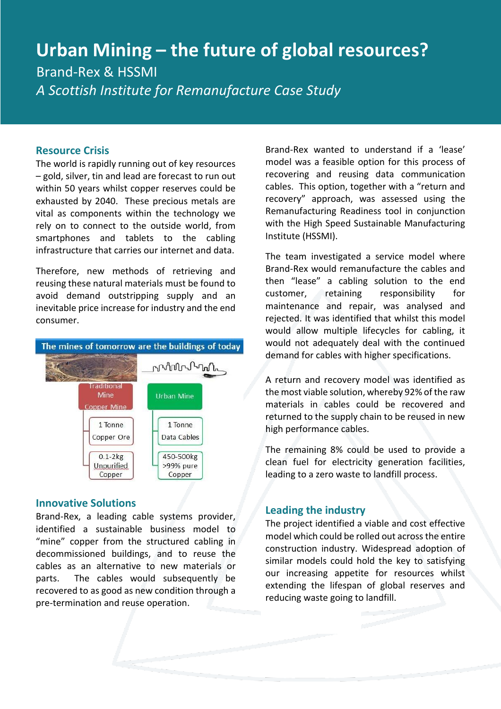# **Urban Mining – the future of global resources?** Brand-Rex & HSSMI

*A Scottish Institute for Remanufacture Case Study* 

### **Resource Crisis**

The world is rapidly running out of key resources – gold, silver, tin and lead are forecast to run out within 50 years whilst copper reserves could be exhausted by 2040. These precious metals are vital as components within the technology we rely on to connect to the outside world, from smartphones and tablets to the cabling infrastructure that carries our internet and data.

Therefore, new methods of retrieving and reusing these natural materials must be found to avoid demand outstripping supply and an inevitable price increase for industry and the end consumer.



#### **Innovative Solutions**

Brand-Rex, a leading cable systems provider, identified a sustainable business model to "mine" copper from the structured cabling in decommissioned buildings, and to reuse the cables as an alternative to new materials or parts. The cables would subsequently be recovered to as good as new condition through a pre-termination and reuse operation.

Brand-Rex wanted to understand if a 'lease' model was a feasible option for this process of recovering and reusing data communication cables. This option, together with a "return and recovery" approach, was assessed using the Remanufacturing Readiness tool in conjunction with the High Speed Sustainable Manufacturing Institute (HSSMI).

The team investigated a service model where Brand-Rex would remanufacture the cables and then "lease" a cabling solution to the end customer, retaining responsibility for maintenance and repair, was analysed and rejected. It was identified that whilst this model would allow multiple lifecycles for cabling, it would not adequately deal with the continued demand for cables with higher specifications.

A return and recovery model was identified as the most viable solution, whereby 92% of the raw materials in cables could be recovered and returned to the supply chain to be reused in new high performance cables.

The remaining 8% could be used to provide a clean fuel for electricity generation facilities, leading to a zero waste to landfill process.

#### **Leading the industry**

The project identified a viable and cost effective model which could be rolled out across the entire construction industry. Widespread adoption of similar models could hold the key to satisfying our increasing appetite for resources whilst extending the lifespan of global reserves and reducing waste going to landfill.